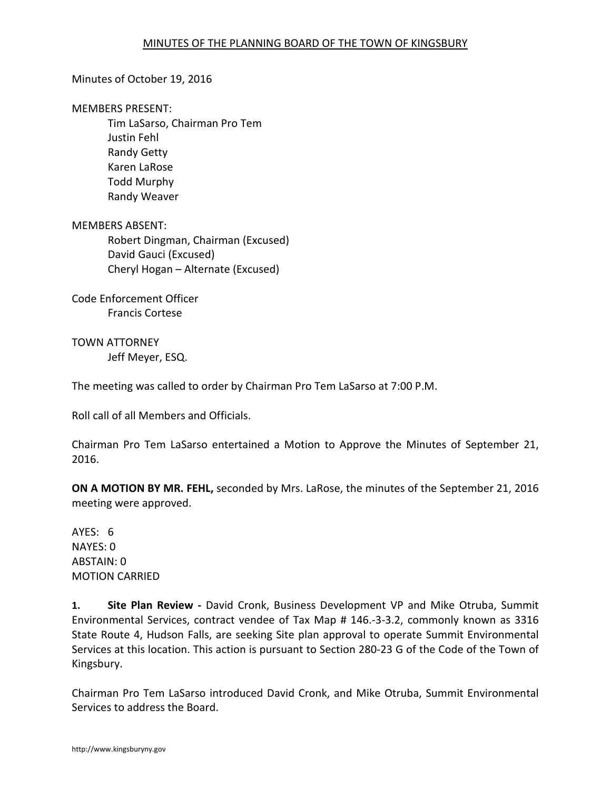## Minutes of October 19, 2016

## MEMBERS PRESENT:

Tim LaSarso, Chairman Pro Tem Justin Fehl Randy Getty Karen LaRose Todd Murphy Randy Weaver

MEMBERS ABSENT: Robert Dingman, Chairman (Excused) David Gauci (Excused) Cheryl Hogan – Alternate (Excused)

Code Enforcement Officer Francis Cortese

TOWN ATTORNEY Jeff Meyer, ESQ.

The meeting was called to order by Chairman Pro Tem LaSarso at 7:00 P.M.

Roll call of all Members and Officials.

Chairman Pro Tem LaSarso entertained a Motion to Approve the Minutes of September 21, 2016.

**ON A MOTION BY MR. FEHL,** seconded by Mrs. LaRose, the minutes of the September 21, 2016 meeting were approved.

AYES: 6 NAYES: 0 ABSTAIN: 0 MOTION CARRIED

**1. Site Plan Review -** David Cronk, Business Development VP and Mike Otruba, Summit Environmental Services, contract vendee of Tax Map # 146.-3-3.2, commonly known as 3316 State Route 4, Hudson Falls, are seeking Site plan approval to operate Summit Environmental Services at this location. This action is pursuant to Section 280-23 G of the Code of the Town of Kingsbury.

Chairman Pro Tem LaSarso introduced David Cronk, and Mike Otruba, Summit Environmental Services to address the Board.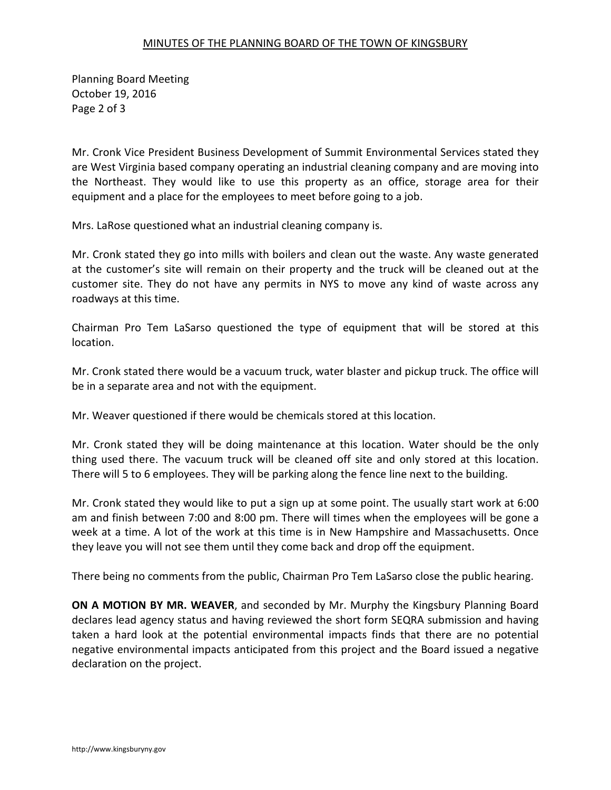## MINUTES OF THE PLANNING BOARD OF THE TOWN OF KINGSBURY

Planning Board Meeting October 19, 2016 Page 2 of 3

Mr. Cronk Vice President Business Development of Summit Environmental Services stated they are West Virginia based company operating an industrial cleaning company and are moving into the Northeast. They would like to use this property as an office, storage area for their equipment and a place for the employees to meet before going to a job.

Mrs. LaRose questioned what an industrial cleaning company is.

Mr. Cronk stated they go into mills with boilers and clean out the waste. Any waste generated at the customer's site will remain on their property and the truck will be cleaned out at the customer site. They do not have any permits in NYS to move any kind of waste across any roadways at this time.

Chairman Pro Tem LaSarso questioned the type of equipment that will be stored at this location.

Mr. Cronk stated there would be a vacuum truck, water blaster and pickup truck. The office will be in a separate area and not with the equipment.

Mr. Weaver questioned if there would be chemicals stored at this location.

Mr. Cronk stated they will be doing maintenance at this location. Water should be the only thing used there. The vacuum truck will be cleaned off site and only stored at this location. There will 5 to 6 employees. They will be parking along the fence line next to the building.

Mr. Cronk stated they would like to put a sign up at some point. The usually start work at 6:00 am and finish between 7:00 and 8:00 pm. There will times when the employees will be gone a week at a time. A lot of the work at this time is in New Hampshire and Massachusetts. Once they leave you will not see them until they come back and drop off the equipment.

There being no comments from the public, Chairman Pro Tem LaSarso close the public hearing.

**ON A MOTION BY MR. WEAVER**, and seconded by Mr. Murphy the Kingsbury Planning Board declares lead agency status and having reviewed the short form SEQRA submission and having taken a hard look at the potential environmental impacts finds that there are no potential negative environmental impacts anticipated from this project and the Board issued a negative declaration on the project.